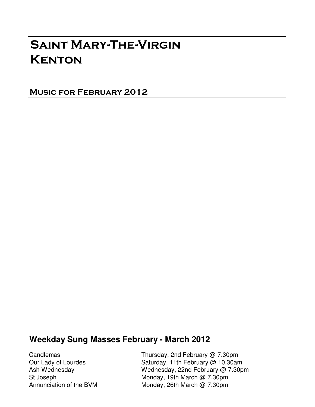# Saint Mary-The-Virgin **KENTON**

Music for February 2012

### **Weekday Sung Masses February - March 2012**

Candlemas Thursday, 2nd February @ 7.30pm Our Lady of Lourdes Saturday, 11th February @ 10.30am Ash Wednesday **Mednesday, 22nd February @ 7.30pm** St Joseph Monday, 19th March @ 7.30pm Annunciation of the BVM Monday, 26th March @ 7.30pm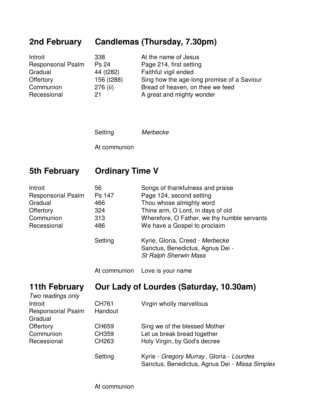### **2nd February Candlemas (Thursday, 7.30pm)**

| Introit                   | 338          | At the name of Jesus                       |
|---------------------------|--------------|--------------------------------------------|
| <b>Responsorial Psalm</b> | <b>Ps 24</b> | Page 214, first setting                    |
| Gradual                   | 44 (t282)    | Faithful vigil ended                       |
| Offertory                 | 156 (t288)   | Sing how the age-long promise of a Saviour |
| Communion                 | 276 (ii)     | Bread of heaven, on thee we feed           |
| Recessional               | 21           | A great and mighty wonder                  |

Setting Merbecke

At communion

### **5th February Ordinary Time V**

| 56      | Songs of thankfulness and praise                                                                    |
|---------|-----------------------------------------------------------------------------------------------------|
| Ps 147  | Page 124, second setting                                                                            |
| 466     | Thou whose almighty word                                                                            |
| 324     | Thine arm, O Lord, in days of old                                                                   |
| 313     | Wherefore, O Father, we thy humble servants                                                         |
| 486     | We have a Gospel to proclaim                                                                        |
| Setting | Kyrie, Gloria, Creed - Merbecke<br>Sanctus, Benedictus, Agnus Dei -<br><b>St Ralph Sherwin Mass</b> |
|         |                                                                                                     |

At communion Love is your name

## **11th February Our Lady of Lourdes (Saturday, 10.30am)**

| Two readings only         |              |                                                |
|---------------------------|--------------|------------------------------------------------|
| Introit                   | CH761        | Virgin wholly marvellous                       |
| <b>Responsorial Psalm</b> | Handout      |                                                |
| Gradual                   |              |                                                |
| Offertory                 | CH659        | Sing we of the blessed Mother                  |
| Communion                 | <b>CH359</b> | Let us break bread together                    |
| Recessional               | CH263        | Holy Virgin, by God's decree                   |
|                           | Setting      | Kyrie - Gregory Murray, Gloria - Lourdes       |
|                           |              | Sanctus, Benedictus, Agnus Dei - Missa Simplex |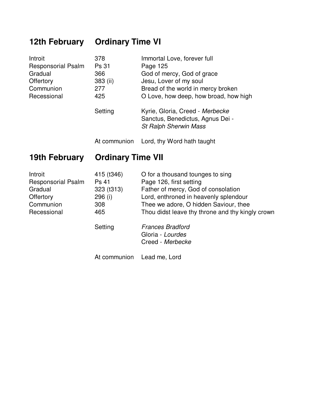# **12th February Ordinary Time VI**

| Introit                   | 378          | Immortal Love, forever full                                                                         |
|---------------------------|--------------|-----------------------------------------------------------------------------------------------------|
| <b>Responsorial Psalm</b> | Ps 31        | Page 125                                                                                            |
| Gradual                   | 366          | God of mercy, God of grace                                                                          |
| Offertory                 | 383 (ii)     | Jesu, Lover of my soul                                                                              |
| Communion                 | 277          | Bread of the world in mercy broken                                                                  |
| 425<br>Recessional        |              | O Love, how deep, how broad, how high                                                               |
|                           | Setting      | Kyrie, Gloria, Creed - Merbecke<br>Sanctus, Benedictus, Agnus Dei -<br><b>St Ralph Sherwin Mass</b> |
|                           | At communion | Lord, thy Word hath taught                                                                          |

**19th February Ordinary Time VII**

| Introit                   | 415 (t346)   | O for a thousand tounges to sing                                |
|---------------------------|--------------|-----------------------------------------------------------------|
| <b>Responsorial Psalm</b> | <b>Ps 41</b> | Page 126, first setting                                         |
| Gradual                   | 323 (t313)   | Father of mercy, God of consolation                             |
| Offertory                 | 296(i)       | Lord, enthroned in heavenly splendour                           |
| Communion                 | 308          | Thee we adore, O hidden Saviour, thee                           |
| Recessional               | 465          | Thou didst leave thy throne and thy kingly crown                |
|                           | Setting      | <b>Frances Bradford</b><br>Gloria - Lourdes<br>Creed - Merbecke |

At communion Lead me, Lord